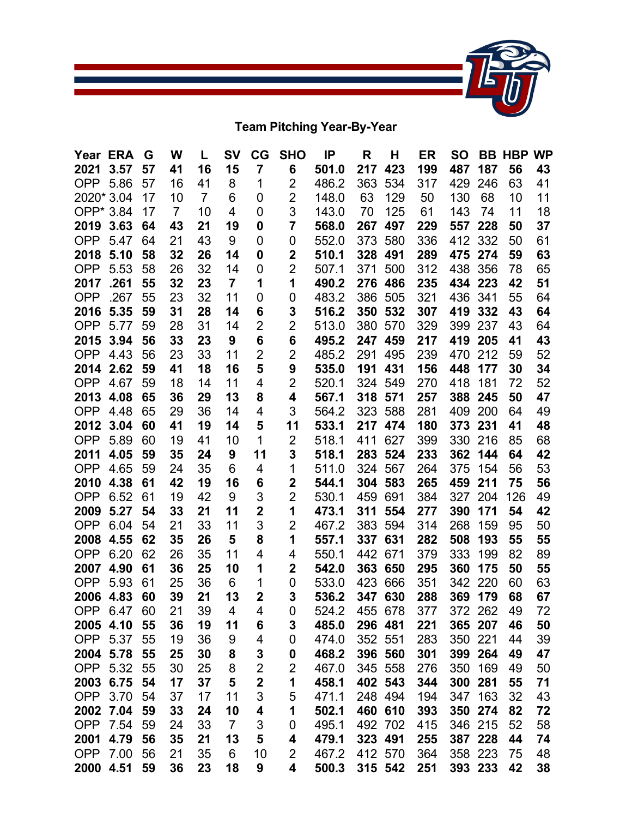

**Team Pitching Year-By-Year**

| Year ERA   |             | G  | W  | L              | <b>SV</b>      | CG                      | <b>SHO</b>     | IP    | R   | Н       | ER  | <b>SO</b> | BB      | <b>HBP WP</b> |    |
|------------|-------------|----|----|----------------|----------------|-------------------------|----------------|-------|-----|---------|-----|-----------|---------|---------------|----|
| 2021       | 3.57        | 57 | 41 | 16             | 15             | 7                       | 6              | 501.0 | 217 | 423     | 199 | 487       | 187     | 56            | 43 |
| OPP        | 5.86        | 57 | 16 | 41             | 8              | 1                       | 2              | 486.2 | 363 | 534     | 317 | 429       | 246     | 63            | 41 |
| 2020* 3.04 |             | 17 | 10 | $\overline{7}$ | 6              | 0                       | $\overline{2}$ | 148.0 | 63  | 129     | 50  | 130       | 68      | 10            | 11 |
| OPP* 3.84  |             | 17 | 7  | 10             | 4              | 0                       | 3              | 143.0 | 70  | 125     | 61  | 143       | 74      | 11            | 18 |
| 2019       | 3.63        | 64 | 43 | 21             | 19             | 0                       | 7              | 568.0 | 267 | 497     | 229 | 557       | 228     | 50            | 37 |
| <b>OPP</b> | 5.47        | 64 | 21 | 43             | 9              | 0                       | 0              | 552.0 | 373 | 580     | 336 | 412       | 332     | 50            | 61 |
| 2018       | 5.10        | 58 | 32 | 26             | 14             | 0                       | 2              | 510.1 | 328 | 491     | 289 | 475       | 274     | 59            | 63 |
| <b>OPP</b> | 5.53        | 58 | 26 | 32             | 14             | 0                       | 2              | 507.1 | 371 | 500     | 312 | 438       | 356     | 78            | 65 |
| 2017       | .261        | 55 | 32 | 23             | $\overline{7}$ | 1                       | 1              | 490.2 | 276 | 486     | 235 | 434       | 223     | 42            | 51 |
| <b>OPP</b> | .267        | 55 | 23 | 32             | 11             | 0                       | 0              | 483.2 | 386 | 505     | 321 | 436       | 341     | 55            | 64 |
| 2016       | 5.35        | 59 | 31 | 28             | 14             | 6                       | 3              | 516.2 | 350 | 532     | 307 | 419       | 332     | 43            | 64 |
| <b>OPP</b> | 5.77        | 59 | 28 | 31             | 14             | $\overline{2}$          | 2              | 513.0 | 380 | 570     | 329 | 399       | 237     | 43            | 64 |
| 2015       | 3.94        | 56 | 33 | 23             | 9              | 6                       | 6              | 495.2 | 247 | 459     | 217 | 419       | 205     | 41            | 43 |
| <b>OPP</b> | 4.43        | 56 | 23 | 33             | 11             | 2                       | 2              | 485.2 | 291 | 495     | 239 | 470       | 212     | 59            | 52 |
| 2014       | 2.62        | 59 | 41 | 18             | 16             | 5                       | 9              | 535.0 | 191 | 431     | 156 | 448       | 177     | 30            | 34 |
| <b>OPP</b> | 4.67        | 59 | 18 | 14             | 11             | 4                       | 2              | 520.1 | 324 | 549     | 270 | 418       | 181     | 72            | 52 |
| 2013       | 4.08        | 65 | 36 | 29             | 13             | 8                       | 4              | 567.1 | 318 | 571     | 257 | 388       | 245     | 50            | 47 |
| <b>OPP</b> | 4.48        | 65 | 29 | 36             | 14             | 4                       | 3              | 564.2 | 323 | 588     | 281 | 409       | 200     | 64            | 49 |
| 2012       | 3.04        | 60 | 41 | 19             | 14             | 5                       | 11             | 533.1 | 217 | 474     | 180 | 373       | 231     | 41            | 48 |
| <b>OPP</b> | 5.89        | 60 | 19 | 41             | 10             | 1                       | 2              | 518.1 | 411 | 627     | 399 | 330       | 216     | 85            | 68 |
| 2011       | 4.05        | 59 | 35 | 24             | 9              | 11                      | 3              | 518.1 | 283 | 524     | 233 | 362       | 144     | 64            | 42 |
| <b>OPP</b> | 4.65        | 59 | 24 | 35             | 6              | 4                       | 1              | 511.0 | 324 | 567     | 264 | 375       | 154     | 56            | 53 |
| 2010       | 4.38        | 61 | 42 | 19             | 16             | 6                       | 2              | 544.1 | 304 | 583     | 265 | 459       | 211     | 75            | 56 |
| <b>OPP</b> | 6.52        | 61 | 19 | 42             | 9              | 3                       | 2              | 530.1 | 459 | 691     | 384 | 327       | 204     | 126           | 49 |
| 2009       | 5.27        | 54 | 33 | 21             | 11             | $\overline{\mathbf{2}}$ | 1              | 473.1 | 311 | 554     | 277 | 390       | 171     | 54            | 42 |
| <b>OPP</b> | 6.04        | 54 | 21 | 33             | 11             | 3                       | $\overline{2}$ | 467.2 | 383 | 594     | 314 | 268       | 159     | 95            | 50 |
| 2008       | 4.55        | 62 | 35 | 26             | 5              | 8                       | 1              | 557.1 | 337 | 631     | 282 | 508       | 193     | 55            | 55 |
| <b>OPP</b> | 6.20        | 62 | 26 | 35             | 11             | 4                       | 4              | 550.1 | 442 | 671     | 379 | 333       | 199     | 82            | 89 |
| 2007       | 4.90        | 61 | 36 | 25             | 10             | 1                       | $\mathbf 2$    | 542.0 | 363 | 650     | 295 | 360       | 175     | 50            | 55 |
| <b>OPP</b> | 5.93        | 61 | 25 | 36             | 6              | 1                       | 0              | 533.0 | 423 | 666     | 351 | 342       | 220     | 60            | 63 |
| 2006       | 4.83        | 60 | 39 | 21             | 13             | $\overline{2}$          | 3              | 536.2 | 347 | 630     | 288 | 369       | 179     | 68            | 67 |
|            | OPP 6.47 60 |    | 21 | 39             | $\overline{4}$ | 4                       | 0              | 524.2 |     | 455 678 | 377 |           | 372 262 | 49            | 72 |
| 2005       | 4.10        | 55 | 36 | 19             | 11             | 6                       | 3              | 485.0 |     | 296 481 | 221 |           | 365 207 | 46            | 50 |
| <b>OPP</b> | 5.37        | 55 | 19 | 36             | 9              | 4                       | 0              | 474.0 |     | 352 551 | 283 | 350       | 221     | 44            | 39 |
| 2004 5.78  |             | 55 | 25 | 30             | 8              | 3                       | 0              | 468.2 |     | 396 560 | 301 |           | 399 264 | 49            | 47 |
| <b>OPP</b> | 5.32        | 55 | 30 | 25             | 8              | $\overline{\mathbf{c}}$ | 2              | 467.0 |     | 345 558 | 276 | 350       | 169     | 49            | 50 |
| 2003       | 6.75        | 54 | 17 | 37             | 5              | $\mathbf 2$             | 1              | 458.1 |     | 402 543 | 344 | 300 281   |         | 55            | 71 |
| <b>OPP</b> | 3.70        | 54 | 37 | 17             | 11             | 3                       | 5              | 471.1 |     | 248 494 | 194 | 347       | 163     | 32            | 43 |
| 2002       | 7.04        | 59 | 33 | 24             | 10             | 4                       | 1              | 502.1 |     | 460 610 | 393 | 350       | 274     | 82            | 72 |
| <b>OPP</b> | 7.54        | 59 | 24 | 33             | $\overline{7}$ | 3                       | 0              | 495.1 |     | 492 702 | 415 |           | 346 215 | 52            | 58 |
| 2001       | 4.79        | 56 | 35 | 21             | 13             | 5                       | 4              | 479.1 |     | 323 491 | 255 | 387 228   |         | 44            | 74 |
| <b>OPP</b> | 7.00        | 56 | 21 | 35             | 6              | 10                      | 2              | 467.2 |     | 412 570 | 364 |           | 358 223 | 75            | 48 |
| 2000       | 4.51        | 59 | 36 | 23             | 18             | 9                       | 4              | 500.3 |     | 315 542 | 251 |           | 393 233 | 42            | 38 |